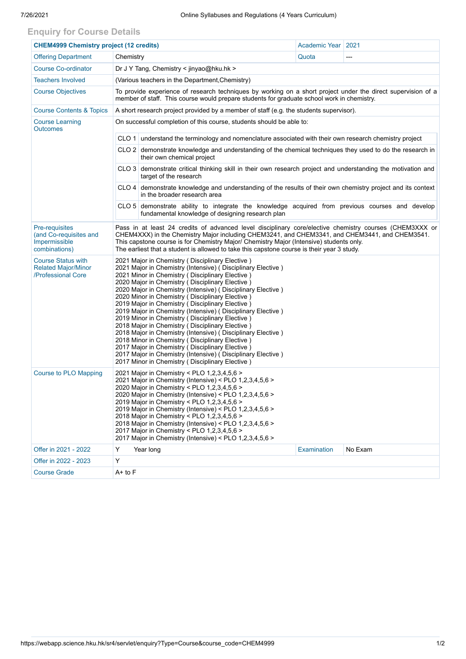## **Enquiry for Course Details**

| <b>CHEM4999 Chemistry project (12 credits)</b>                                |                                                                                                                                                                                                                                                                                                                                                                                                                                                                                                                                                                                                                                                                                                                                                                                                                                                         | Academic Year   2021                                                                                                                   |             |         |  |  |  |  |  |
|-------------------------------------------------------------------------------|---------------------------------------------------------------------------------------------------------------------------------------------------------------------------------------------------------------------------------------------------------------------------------------------------------------------------------------------------------------------------------------------------------------------------------------------------------------------------------------------------------------------------------------------------------------------------------------------------------------------------------------------------------------------------------------------------------------------------------------------------------------------------------------------------------------------------------------------------------|----------------------------------------------------------------------------------------------------------------------------------------|-------------|---------|--|--|--|--|--|
| <b>Offering Department</b>                                                    | Chemistry                                                                                                                                                                                                                                                                                                                                                                                                                                                                                                                                                                                                                                                                                                                                                                                                                                               |                                                                                                                                        | Quota       | ---     |  |  |  |  |  |
| <b>Course Co-ordinator</b>                                                    | Dr J Y Tang, Chemistry < jinyao@hku.hk >                                                                                                                                                                                                                                                                                                                                                                                                                                                                                                                                                                                                                                                                                                                                                                                                                |                                                                                                                                        |             |         |  |  |  |  |  |
| <b>Teachers Involved</b>                                                      | (Various teachers in the Department, Chemistry)                                                                                                                                                                                                                                                                                                                                                                                                                                                                                                                                                                                                                                                                                                                                                                                                         |                                                                                                                                        |             |         |  |  |  |  |  |
| <b>Course Objectives</b>                                                      | To provide experience of research techniques by working on a short project under the direct supervision of a<br>member of staff. This course would prepare students for graduate school work in chemistry.                                                                                                                                                                                                                                                                                                                                                                                                                                                                                                                                                                                                                                              |                                                                                                                                        |             |         |  |  |  |  |  |
| <b>Course Contents &amp; Topics</b>                                           | A short research project provided by a member of staff (e.g. the students supervisor).                                                                                                                                                                                                                                                                                                                                                                                                                                                                                                                                                                                                                                                                                                                                                                  |                                                                                                                                        |             |         |  |  |  |  |  |
| <b>Course Learning</b><br><b>Outcomes</b>                                     | On successful completion of this course, students should be able to:                                                                                                                                                                                                                                                                                                                                                                                                                                                                                                                                                                                                                                                                                                                                                                                    |                                                                                                                                        |             |         |  |  |  |  |  |
|                                                                               | CLO 1 understand the terminology and nomenclature associated with their own research chemistry project                                                                                                                                                                                                                                                                                                                                                                                                                                                                                                                                                                                                                                                                                                                                                  |                                                                                                                                        |             |         |  |  |  |  |  |
|                                                                               | CLO 2 demonstrate knowledge and understanding of the chemical techniques they used to do the research in<br>their own chemical project                                                                                                                                                                                                                                                                                                                                                                                                                                                                                                                                                                                                                                                                                                                  |                                                                                                                                        |             |         |  |  |  |  |  |
|                                                                               |                                                                                                                                                                                                                                                                                                                                                                                                                                                                                                                                                                                                                                                                                                                                                                                                                                                         | CLO 3 demonstrate critical thinking skill in their own research project and understanding the motivation and<br>target of the research |             |         |  |  |  |  |  |
|                                                                               | CLO 4 demonstrate knowledge and understanding of the results of their own chemistry project and its context<br>in the broader research area                                                                                                                                                                                                                                                                                                                                                                                                                                                                                                                                                                                                                                                                                                             |                                                                                                                                        |             |         |  |  |  |  |  |
|                                                                               | CLO 5 demonstrate ability to integrate the knowledge acquired from previous courses and develop<br>fundamental knowledge of designing research plan                                                                                                                                                                                                                                                                                                                                                                                                                                                                                                                                                                                                                                                                                                     |                                                                                                                                        |             |         |  |  |  |  |  |
| Pre-requisites<br>(and Co-requisites and<br>Impermissible<br>combinations)    | Pass in at least 24 credits of advanced level disciplinary core/elective chemistry courses (CHEM3XXX or<br>CHEM4XXX) in the Chemistry Major including CHEM3241, and CHEM3341, and CHEM3441, and CHEM3541.<br>This capstone course is for Chemistry Major/ Chemistry Major (Intensive) students only.<br>The earliest that a student is allowed to take this capstone course is their year 3 study.                                                                                                                                                                                                                                                                                                                                                                                                                                                      |                                                                                                                                        |             |         |  |  |  |  |  |
| <b>Course Status with</b><br><b>Related Major/Minor</b><br>/Professional Core | 2021 Major in Chemistry (Disciplinary Elective)<br>2021 Major in Chemistry (Intensive) ( Disciplinary Elective )<br>2021 Minor in Chemistry (Disciplinary Elective)<br>2020 Major in Chemistry (Disciplinary Elective)<br>2020 Major in Chemistry (Intensive) (Disciplinary Elective)<br>2020 Minor in Chemistry (Disciplinary Elective)<br>2019 Major in Chemistry (Disciplinary Elective)<br>2019 Major in Chemistry (Intensive) (Disciplinary Elective)<br>2019 Minor in Chemistry (Disciplinary Elective)<br>2018 Major in Chemistry (Disciplinary Elective)<br>2018 Major in Chemistry (Intensive) (Disciplinary Elective)<br>2018 Minor in Chemistry (Disciplinary Elective)<br>2017 Major in Chemistry (Disciplinary Elective)<br>2017 Major in Chemistry (Intensive) (Disciplinary Elective)<br>2017 Minor in Chemistry (Disciplinary Elective) |                                                                                                                                        |             |         |  |  |  |  |  |
| Course to PLO Mapping                                                         | 2021 Major in Chemistry < PLO 1,2,3,4,5,6 ><br>2021 Major in Chemistry (Intensive) < PLO 1,2,3,4,5,6 ><br>2020 Major in Chemistry < PLO 1,2,3,4,5,6 ><br>2020 Major in Chemistry (Intensive) < PLO 1,2,3,4,5,6 ><br>2019 Major in Chemistry < PLO 1,2,3,4,5,6 ><br>2019 Major in Chemistry (Intensive) < PLO 1,2,3,4,5,6 ><br>2018 Major in Chemistry < PLO 1,2,3,4,5,6 ><br>2018 Major in Chemistry (Intensive) < PLO 1,2,3,4,5,6 ><br>2017 Major in Chemistry < PLO 1,2,3,4,5,6 ><br>2017 Major in Chemistry (Intensive) < PLO 1,2,3,4,5,6 >                                                                                                                                                                                                                                                                                                          |                                                                                                                                        |             |         |  |  |  |  |  |
| Offer in 2021 - 2022                                                          | Y                                                                                                                                                                                                                                                                                                                                                                                                                                                                                                                                                                                                                                                                                                                                                                                                                                                       | Year long                                                                                                                              | Examination | No Exam |  |  |  |  |  |
| Offer in 2022 - 2023                                                          | Y                                                                                                                                                                                                                                                                                                                                                                                                                                                                                                                                                                                                                                                                                                                                                                                                                                                       |                                                                                                                                        |             |         |  |  |  |  |  |
| <b>Course Grade</b>                                                           | $A+$ to $F$                                                                                                                                                                                                                                                                                                                                                                                                                                                                                                                                                                                                                                                                                                                                                                                                                                             |                                                                                                                                        |             |         |  |  |  |  |  |